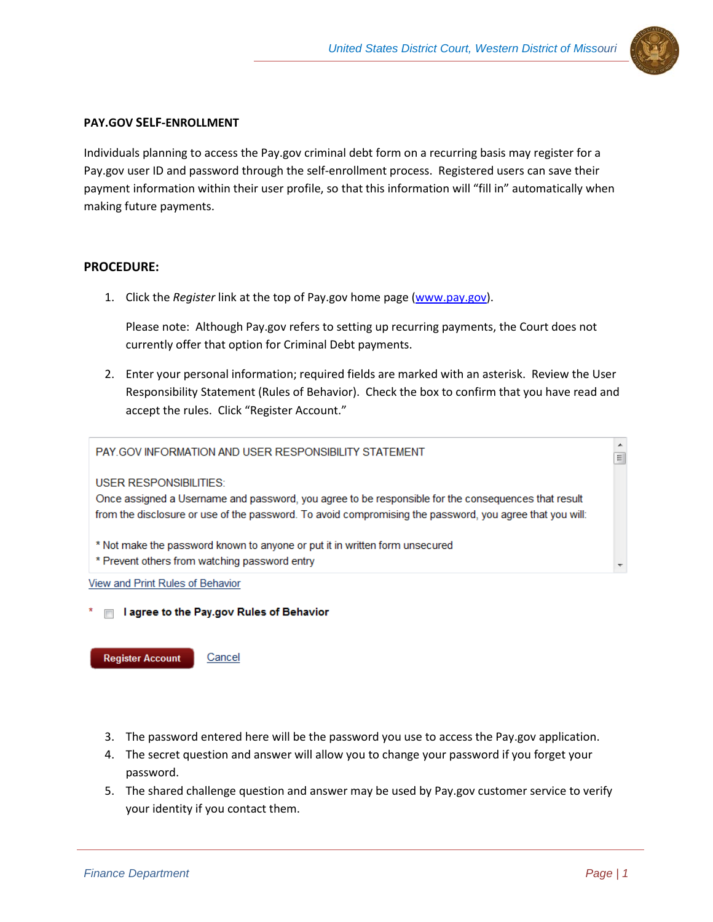

## **PAY.GOV SELF-ENROLLMENT**

Individuals planning to access the Pay.gov criminal debt form on a recurring basis may register for a Pay.gov user ID and password through the self-enrollment process. Registered users can save their payment information within their user profile, so that this information will "fill in" automatically when making future payments.

## **PROCEDURE:**

1. Click the *Register* link at the top of Pay.gov home page [\(www.pay.gov\)](http://www.pay.gov/).

Please note: Although Pay.gov refers to setting up recurring payments, the Court does not currently offer that option for Criminal Debt payments.

2. Enter your personal information; required fields are marked with an asterisk. Review the User Responsibility Statement (Rules of Behavior). Check the box to confirm that you have read and accept the rules. Click "Register Account."

PAY.GOV INFORMATION AND USER RESPONSIBILITY STATEMENT

**USER RESPONSIBILITIES:** 

Once assigned a Username and password, you agree to be responsible for the consequences that result from the disclosure or use of the password. To avoid compromising the password, you agree that you will:

- \* Not make the password known to anyone or put it in written form unsecured
- \* Prevent others from watching password entry

View and Print Rules of Behavior

 $*$   $\Box$  I agree to the Pay.gov Rules of Behavior

**Register Account** 

Cancel

- 3. The password entered here will be the password you use to access the Pay.gov application.
- 4. The secret question and answer will allow you to change your password if you forget your password.
- 5. The shared challenge question and answer may be used by Pay.gov customer service to verify your identity if you contact them.

 $\blacktriangle$ 

 $\equiv$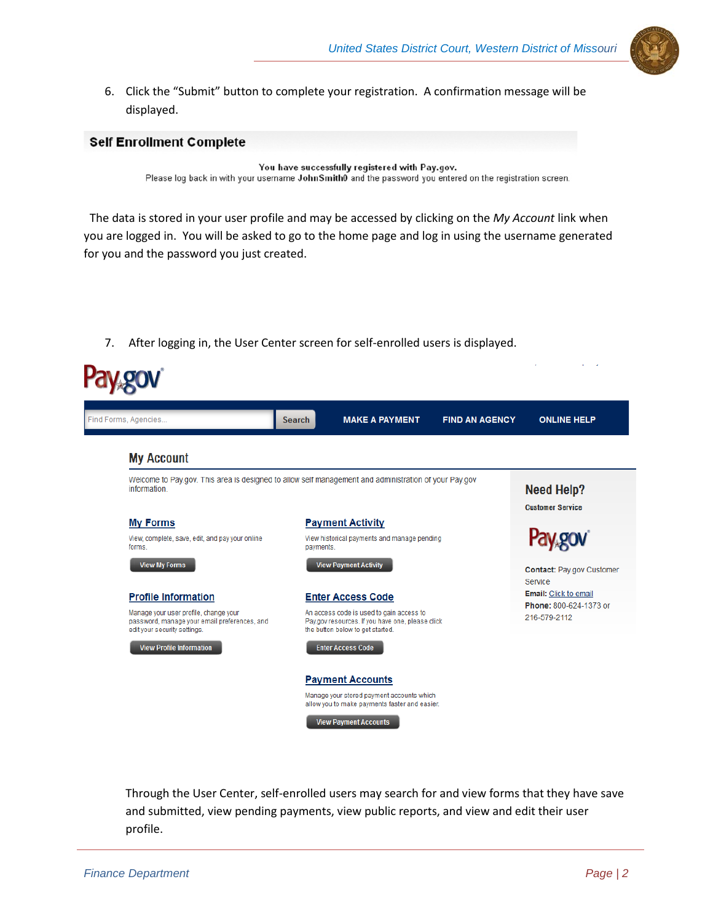

6. Click the "Submit" button to complete your registration. A confirmation message will be displayed.

## **Self Enrollment Complete**

You have successfully registered with Pay.gov. Please log back in with your username John Smith0 and the password you entered on the registration screen.

 The data is stored in your user profile and may be accessed by clicking on the *My Account* link when you are logged in. You will be asked to go to the home page and log in using the username generated for you and the password you just created.

7. After logging in, the User Center screen for self-enrolled users is displayed.

|                                                                              |                          | <b>Need Help?</b><br><b>Customer Service</b>                                                                                                                                                                                                                                                           |
|------------------------------------------------------------------------------|--------------------------|--------------------------------------------------------------------------------------------------------------------------------------------------------------------------------------------------------------------------------------------------------------------------------------------------------|
| <b>Payment Activity</b>                                                      |                          |                                                                                                                                                                                                                                                                                                        |
| payments.                                                                    |                          |                                                                                                                                                                                                                                                                                                        |
| <b>View Payment Activity</b>                                                 |                          | <b>Contact: Pay.gov Customer</b><br>Service                                                                                                                                                                                                                                                            |
|                                                                              |                          | <b>Email:</b> Click to email                                                                                                                                                                                                                                                                           |
| An access code is used to gain access to<br>the button below to get started. |                          | Phone: 800-624-1373 or<br>216-579-2112                                                                                                                                                                                                                                                                 |
| <b>Enter Access Code</b>                                                     |                          |                                                                                                                                                                                                                                                                                                        |
| <b>Payment Accounts</b>                                                      |                          |                                                                                                                                                                                                                                                                                                        |
|                                                                              |                          |                                                                                                                                                                                                                                                                                                        |
|                                                                              | <b>Enter Access Code</b> | Welcome to Pay.gov. This area is designed to allow self management and administration of your Pay.gov<br>View historical payments and manage pending<br>Pay.gov resources. If you have one, please click<br>Manage your stored payment accounts which<br>allow you to make payments faster and easier. |

Through the User Center, self-enrolled users may search for and view forms that they have save and submitted, view pending payments, view public reports, and view and edit their user profile.